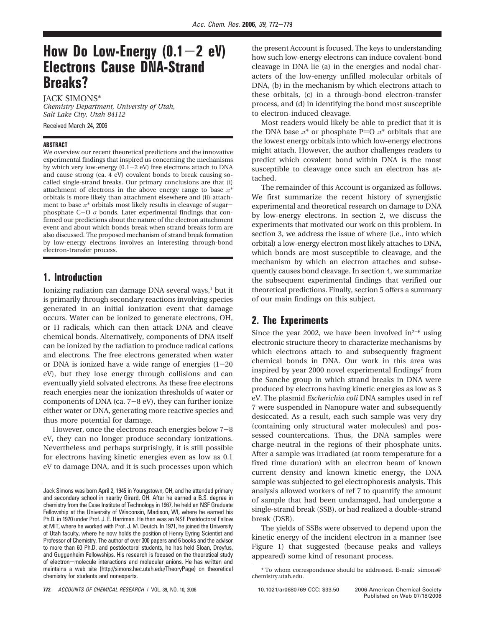# **How Do Low-Energy (0.1**-**2 eV) Electrons Cause DNA-Strand Breaks?**

JACK SIMONS\*

*Chemistry Department, University of Utah, Salt Lake City, Utah 84112*

Received March 24, 2006

#### **ABSTRACT**

We overview our recent theoretical predictions and the innovative experimental findings that inspired us concerning the mechanisms by which very low-energy  $(0.1-2$  eV) free electrons attach to DNA and cause strong (ca. 4 eV) covalent bonds to break causing socalled single-strand breaks. Our primary conclusions are that (i) attachment of electrons in the above energy range to base  $\pi^*$ orbitals is more likely than attachment elsewhere and (ii) attachment to base  $\pi^*$  orbitals most likely results in cleavage of sugarphosphate  $C-O$   $\sigma$  bonds. Later experimental findings that confirmed our predictions about the nature of the electron attachment event and about which bonds break when strand breaks form are also discussed. The proposed mechanism of strand break formation by low-energy electrons involves an interesting through-bond electron-transfer process.

## **1. Introduction**

Ionizing radiation can damage DNA several ways, $<sup>1</sup>$  but it</sup> is primarily through secondary reactions involving species generated in an initial ionization event that damage occurs. Water can be ionized to generate electrons, OH, or H radicals, which can then attack DNA and cleave chemical bonds. Alternatively, components of DNA itself can be ionized by the radiation to produce radical cations and electrons. The free electrons generated when water or DNA is ionized have a wide range of energies  $(1-20)$ eV), but they lose energy through collisions and can eventually yield solvated electrons. As these free electrons reach energies near the ionization thresholds of water or components of DNA (ca.  $7-8$  eV), they can further ionize either water or DNA, generating more reactive species and thus more potential for damage.

However, once the electrons reach energies below 7-<sup>8</sup> eV, they can no longer produce secondary ionizations. Nevertheless and perhaps surprisingly, it is still possible for electrons having kinetic energies even as low as 0.1 eV to damage DNA, and it is such processes upon which

the present Account is focused. The keys to understanding how such low-energy electrons can induce covalent-bond cleavage in DNA lie (a) in the energies and nodal characters of the low-energy unfilled molecular orbitals of DNA, (b) in the mechanism by which electrons attach to these orbitals, (c) in a through-bond electron-transfer process, and (d) in identifying the bond most susceptible to electron-induced cleavage.

Most readers would likely be able to predict that it is the DNA base  $\pi^*$  or phosphate P=O  $\pi^*$  orbitals that are the lowest energy orbitals into which low-energy electrons might attach. However, the author challenges readers to predict which covalent bond within DNA is the most susceptible to cleavage once such an electron has attached.

The remainder of this Account is organized as follows. We first summarize the recent history of synergistic experimental and theoretical research on damage to DNA by low-energy electrons. In section 2, we discuss the experiments that motivated our work on this problem. In section 3, we address the issue of where (i.e., into which orbital) a low-energy electron most likely attaches to DNA, which bonds are most susceptible to cleavage, and the mechanism by which an electron attaches and subsequently causes bond cleavage. In section 4, we summarize the subsequent experimental findings that verified our theoretical predictions. Finally, section 5 offers a summary of our main findings on this subject.

# **2. The Experiments**

Since the year 2002, we have been involved in $2^{-6}$  using electronic structure theory to characterize mechanisms by which electrons attach to and subsequently fragment chemical bonds in DNA. Our work in this area was inspired by year 2000 novel experimental findings<sup>7</sup> from the Sanche group in which strand breaks in DNA were produced by electrons having kinetic energies as low as 3 eV. The plasmid *Escherichia coli* DNA samples used in ref 7 were suspended in Nanopure water and subsequently desiccated. As a result, each such sample was very dry (containing only structural water molecules) and possessed countercations. Thus, the DNA samples were charge-neutral in the regions of their phosphate units. After a sample was irradiated (at room temperature for a fixed time duration) with an electron beam of known current density and known kinetic energy, the DNA sample was subjected to gel electrophoresis analysis. This analysis allowed workers of ref 7 to quantify the amount of sample that had been undamaged, had undergone a single-strand break (SSB), or had realized a double-strand break (DSB).

The yields of SSBs were observed to depend upon the kinetic energy of the incident electron in a manner (see Figure 1) that suggested (because peaks and valleys appeared) some kind of resonant process.

Jack Simons was born April 2, 1945 in Youngstown, OH, and he attended primary and secondary school in nearby Girard, OH. After he earned a B.S. degree in chemistry from the Case Institute of Technology in 1967, he held an NSF Graduate Fellowship at the University of Wisconsin, Madison, WI, where he earned his Ph.D. in 1970 under Prof. J. E. Harriman. He then was an NSF Postdoctoral Fellow at MIT, where he worked with Prof. J. M. Deutch. In 1971, he joined the University of Utah faculty, where he now holds the position of Henry Eyring Scientist and Professor of Chemistry. The author of over 300 papers and 6 books and the advisor to more than 60 Ph.D. and postdoctoral students, he has held Sloan, Dreyfus, and Guggenheim Fellowships. His research is focused on the theoretical study of electron-molecule interactions and molecular anions. He has written and maintains a web site (http://simons.hec.utah.edu/TheoryPage) on theoretical chemistry for students and nonexperts.

<sup>\*</sup> To whom correspondence should be addressed. E-mail: simons@ chemistry.utah.edu.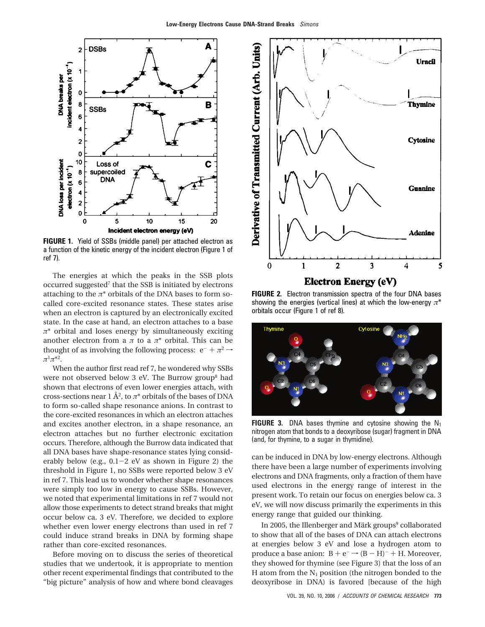

**FIGURE 1.** Yield of SSBs (middle panel) per attached electron as a function of the kinetic energy of the incident electron (Figure 1 of ref 7).

The energies at which the peaks in the SSB plots occurred suggested7 that the SSB is initiated by electrons attaching to the  $\pi^*$  orbitals of the DNA bases to form socalled core-excited resonance states. These states arise when an electron is captured by an electronically excited state. In the case at hand, an electron attaches to a base *π*\* orbital and loses energy by simultaneously exciting another electron from a  $\pi$  to a  $\pi^*$  orbital. This can be thought of as involving the following process:  $e^- + \pi^2 \rightarrow$ *π*<sup>1</sup>*π*\*2.

When the author first read ref 7, he wondered why SSBs were not observed below 3 eV. The Burrow group<sup>8</sup> had shown that electrons of even lower energies attach, with cross-sections near 1 Å<sup>2</sup>, to  $\pi^*$  orbitals of the bases of DNA to form so-called shape resonance anions. In contrast to the core-excited resonances in which an electron attaches and excites another electron, in a shape resonance, an electron attaches but no further electronic excitation occurs. Therefore, although the Burrow data indicated that all DNA bases have shape-resonance states lying considerably below (e.g.,  $0.1-2$  eV as shown in Figure 2) the threshold in Figure 1, no SSBs were reported below 3 eV in ref 7. This lead us to wonder whether shape resonances were simply too low in energy to cause SSBs. However, we noted that experimental limitations in ref 7 would not allow those experiments to detect strand breaks that might occur below ca. 3 eV. Therefore, we decided to explore whether even lower energy electrons than used in ref 7 could induce strand breaks in DNA by forming shape rather than core-excited resonances.

Before moving on to discuss the series of theoretical studies that we undertook, it is appropriate to mention other recent experimental findings that contributed to the "big picture" analysis of how and where bond cleavages



**FIGURE 2.** Electron transmission spectra of the four DNA bases showing the energies (vertical lines) at which the low-energy *π*\* orbitals occur (Figure 1 of ref 8).



**FIGURE 3.** DNA bases thymine and cytosine showing the  $N_1$ nitrogen atom that bonds to a deoxyribose (sugar) fragment in DNA (and, for thymine, to a sugar in thymidine).

can be induced in DNA by low-energy electrons. Although there have been a large number of experiments involving electrons and DNA fragments, only a fraction of them have used electrons in the energy range of interest in the present work. To retain our focus on energies below ca. 3 eV, we will now discuss primarily the experiments in this energy range that guided our thinking.

In 2005, the Illenberger and Märk groups<sup>9</sup> collaborated to show that all of the bases of DNA can attach electrons at energies below 3 eV and lose a hydrogen atom to produce a base anion:  $B + e^- \rightarrow (B - H)^- + H$ . Moreover, they showed for thymine (see Figure 3) that the loss of an H atom from the  $N_1$  position (the nitrogen bonded to the deoxyribose in DNA) is favored [because of the high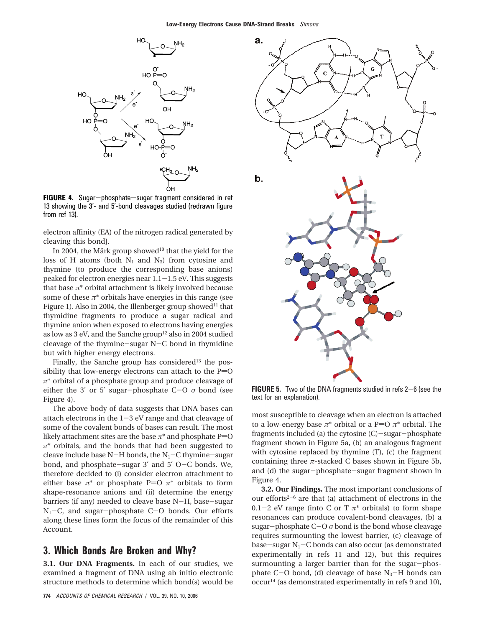

**FIGURE 4.** Sugar-phosphate-sugar fragment considered in ref 13 showing the 3′- and 5′-bond cleavages studied (redrawn figure from ref 13).

electron affinity (EA) of the nitrogen radical generated by cleaving this bond].

In 2004, the Märk group showed<sup>10</sup> that the yield for the loss of H atoms (both  $N_1$  and  $N_3$ ) from cytosine and thymine (to produce the corresponding base anions) peaked for electron energies near  $1.1-1.5$  eV. This suggests that base  $\pi^*$  orbital attachment is likely involved because some of these  $\pi^*$  orbitals have energies in this range (see Figure 1). Also in 2004, the Illenberger group showed<sup>11</sup> that thymidine fragments to produce a sugar radical and thymine anion when exposed to electrons having energies as low as 3 eV, and the Sanche group<sup>12</sup> also in 2004 studied cleavage of the thymine-sugar N-C bond in thymidine but with higher energy electrons.

Finally, the Sanche group has considered $13$  the possibility that low-energy electrons can attach to the  $P=O$ *π*\* orbital of a phosphate group and produce cleavage of either the 3' or 5' sugar-phosphate  $C-O \sigma$  bond (see Figure 4).

The above body of data suggests that DNA bases can attach electrons in the  $1-3$  eV range and that cleavage of some of the covalent bonds of bases can result. The most likely attachment sites are the base  $\pi^*$  and phosphate P=O *π*\* orbitals, and the bonds that had been suggested to cleave include base N-H bonds, the  $N_1-C$  thymine-sugar bond, and phosphate-sugar 3′ and 5′ <sup>O</sup>-C bonds. We, therefore decided to (i) consider electron attachment to either base  $\pi^*$  or phosphate P=O  $\pi^*$  orbitals to form shape-resonance anions and (ii) determine the energy barriers (if any) needed to cleave base N-H, base-sugar  $N_1-C$ , and sugar-phosphate C-O bonds. Our efforts along these lines form the focus of the remainder of this Account.

#### **3. Which Bonds Are Broken and Why?**

**3.1. Our DNA Fragments.** In each of our studies, we examined a fragment of DNA using ab initio electronic structure methods to determine which bond(s) would be



**FIGURE 5.** Two of the DNA fragments studied in refs 2-6 (see the text for an explanation).

most susceptible to cleavage when an electron is attached to a low-energy base  $\pi^*$  orbital or a P=O  $\pi^*$  orbital. The fragments included (a) the cytosine (C)-sugar-phosphate fragment shown in Figure 5a, (b) an analogous fragment with cytosine replaced by thymine (T), (c) the fragment containing three  $\pi$ -stacked C bases shown in Figure 5b, and (d) the sugar-phosphate-sugar fragment shown in Figure 4.

**3.2. Our Findings.** The most important conclusions of our efforts<sup> $2-6$ </sup> are that (a) attachment of electrons in the 0.1-2 eV range (into C or T  $\pi^*$  orbitals) to form shape resonances can produce covalent-bond cleavages, (b) a sugar-phosphate  $C-O \sigma$  bond is the bond whose cleavage requires surmounting the lowest barrier, (c) cleavage of base-sugar  $N_1$ –C bonds can also occur (as demonstrated experimentally in refs 11 and 12), but this requires surmounting a larger barrier than for the sugar-phosphate C-O bond, (d) cleavage of base  $N_3$ -H bonds can occur14 (as demonstrated experimentally in refs 9 and 10),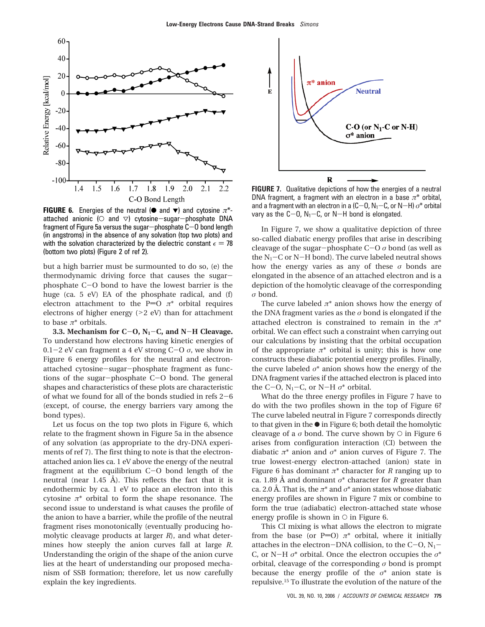

**FIGURE 6.** Energies of the neutral ( $\bullet$  and  $\bullet$ ) and cytosine  $\pi^*$ attached anionic ( $\circ$  and  $\vee$ ) cytosine-sugar-phosphate DNA fragment of Figure 5a versus the sugar-phosphate  $C-0$  bond length (in angstroms) in the absence of any solvation (top two plots) and with the solvation characterized by the dielectric constant  $\epsilon = 78$ (bottom two plots) (Figure 2 of ref 2).

but a high barrier must be surmounted to do so, (e) the thermodynamic driving force that causes the sugarphosphate C-O bond to have the lowest barrier is the huge (ca. 5 eV) EA of the phosphate radical, and (f) electron attachment to the P=O  $\pi^*$  orbital requires electrons of higher energy  $(>2$  eV) than for attachment to base *π*\* orbitals.

**3.3. Mechanism for C-O,**  $N_1$ **-C, and N-H Cleavage.** To understand how electrons having kinetic energies of 0.1-2 eV can fragment a 4 eV strong  $C-O \sigma$ , we show in Figure 6 energy profiles for the neutral and electronattached cytosine-sugar-phosphate fragment as functions of the sugar-phosphate C-O bond. The general shapes and characteristics of these plots are characteristic of what we found for all of the bonds studied in refs 2-<sup>6</sup> (except, of course, the energy barriers vary among the bond types).

Let us focus on the top two plots in Figure 6, which relate to the fragment shown in Figure 5a in the absence of any solvation (as appropriate to the dry-DNA experiments of ref 7). The first thing to note is that the electronattached anion lies ca. 1 eV above the energy of the neutral fragment at the equilibrium C-O bond length of the neutral (near 1.45 Å). This reflects the fact that it is endothermic by ca. 1 eV to place an electron into this cytosine *π*\* orbital to form the shape resonance. The second issue to understand is what causes the profile of the anion to have a barrier, while the profile of the neutral fragment rises monotonically (eventually producing homolytic cleavage products at larger *R*), and what determines how steeply the anion curves fall at large *R*. Understanding the origin of the shape of the anion curve lies at the heart of understanding our proposed mechanism of SSB formation; therefore, let us now carefully explain the key ingredients.



**FIGURE 7.** Qualitative depictions of how the energies of a neutral DNA fragment, a fragment with an electron in a base *π*\* orbital, and a fragment with an electron in a  $(C-0, N_1-C)$ , or  $N-H$ )  $\sigma^*$  orbital vary as the  $C-0$ ,  $N_1-C$ , or N-H bond is elongated.

In Figure 7, we show a qualitative depiction of three so-called diabatic energy profiles that arise in describing cleavage of the sugar-phosphate C-<sup>O</sup> *<sup>σ</sup>* bond (as well as the  $N_1-C$  or N-H bond). The curve labeled neutral shows how the energy varies as any of these *σ* bonds are elongated in the absence of an attached electron and is a depiction of the homolytic cleavage of the corresponding *σ* bond.

The curve labeled  $\pi^*$  anion shows how the energy of the DNA fragment varies as the  $\sigma$  bond is elongated if the attached electron is constrained to remain in the *π*\* orbital. We can effect such a constraint when carrying out our calculations by insisting that the orbital occupation of the appropriate  $\pi^*$  orbital is unity; this is how one constructs these diabatic potential energy profiles. Finally, the curve labeled *σ*\* anion shows how the energy of the DNA fragment varies if the attached electron is placed into the C-O,  $N_1$ -C, or N-H  $\sigma^*$  orbital.

What do the three energy profiles in Figure 7 have to do with the two profiles shown in the top of Figure 6? The curve labeled neutral in Figure 7 corresponds directly to that given in the  $\bullet$  in Figure 6; both detail the homolytic cleavage of a  $\sigma$  bond. The curve shown by  $\circ$  in Figure 6 arises from configuration interaction (CI) between the diabatic *π*\* anion and *σ*\* anion curves of Figure 7. The true lowest-energy electron-attached (anion) state in Figure 6 has dominant *π*\* character for *R* ranging up to ca. 1.89 Å and dominant *σ*\* character for *R* greater than ca. 2.0 Å. That is, the  $\pi^*$  and  $\sigma^*$  anion states whose diabatic energy profiles are shown in Figure 7 mix or combine to form the true (adiabatic) electron-attached state whose energy profile is shown in  $\circ$  in Figure 6.

This CI mixing is what allows the electron to migrate from the base (or P=O)  $\pi^*$  orbital, where it initially attaches in the electron-DNA collision, to the C-O,  $N_1$ -C, or N-<sup>H</sup> *<sup>σ</sup>*\* orbital. Once the electron occupies the *<sup>σ</sup>*\* orbital, cleavage of the corresponding *σ* bond is prompt because the energy profile of the *σ*\* anion state is repulsive.15 To illustrate the evolution of the nature of the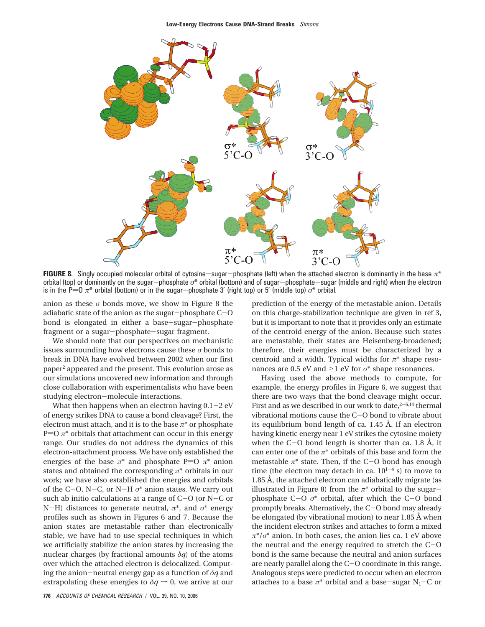

**FIGURE 8.** Singly occupied molecular orbital of cytosine-sugar-phosphate (left) when the attached electron is dominantly in the base *<sup>π</sup>*\* orbital (top) or dominantly on the sugar-phosphate *<sup>σ</sup>*\* orbital (bottom) and of sugar-phosphate-sugar (middle and right) when the electron is in the P=0  $\pi^*$  orbital (bottom) or in the sugar-phosphate 3' (right top) or 5' (middle top)  $\sigma^*$  orbital.

anion as these  $\sigma$  bonds move, we show in Figure 8 the adiabatic state of the anion as the sugar-phosphate C-<sup>O</sup> bond is elongated in either a base-sugar-phosphate fragment or a sugar-phosphate-sugar fragment.

We should note that our perspectives on mechanistic issues surrounding how electrons cause these *σ* bonds to break in DNA have evolved between 2002 when our first paper2 appeared and the present. This evolution arose as our simulations uncovered new information and through close collaboration with experimentalists who have been studying electron-molecule interactions.

What then happens when an electron having  $0.1-2$  eV of energy strikes DNA to cause a bond cleavage? First, the electron must attach, and it is to the base  $\pi^*$  or phosphate P= $0 \pi^*$  orbitals that attachment can occur in this energy range. Our studies do not address the dynamics of this electron-attachment process. We have only established the energies of the base  $\pi^*$  and phosphate P=O  $\pi^*$  anion states and obtained the corresponding *π*\* orbitals in our work; we have also established the energies and orbitals of the C-O, N-C, or N-H  $\sigma^*$  anion states. We carry out such ab initio calculations at a range of C-O (or N-C or <sup>N</sup>-H) distances to generate neutral, *<sup>π</sup>*\*, and *<sup>σ</sup>*\* energy profiles such as shown in Figures 6 and 7. Because the anion states are metastable rather than electronically stable, we have had to use special techniques in which we artificially stabilize the anion states by increasing the nuclear charges (by fractional amounts  $\delta q$ ) of the atoms over which the attached electron is delocalized. Computing the anion-neutral energy gap as a function of *<sup>δ</sup><sup>q</sup>* and extrapolating these energies to  $\delta q \rightarrow 0$ , we arrive at our

prediction of the energy of the metastable anion. Details on this charge-stabilization technique are given in ref 3, but it is important to note that it provides only an estimate of the centroid energy of the anion. Because such states are metastable, their states are Heisenberg-broadened; therefore, their energies must be characterized by a centroid and a width. Typical widths for *π*\* shape resonances are 0.5 eV and >1 eV for *<sup>σ</sup>*\* shape resonances.

Having used the above methods to compute, for example, the energy profiles in Figure 6, we suggest that there are two ways that the bond cleavage might occur. First and as we described in our work to date,  $2-6,14$  thermal vibrational motions cause the C-O bond to vibrate about its equilibrium bond length of ca. 1.45 Å. If an electron having kinetic energy near 1 eV strikes the cytosine moiety when the  $C-O$  bond length is shorter than ca. 1.8 Å, it can enter one of the  $\pi^*$  orbitals of this base and form the metastable  $\pi^*$  state. Then, if the C-O bond has enough time (the electron may detach in ca.  $10^{1-4}$  s) to move to 1.85 Å, the attached electron can adiabatically migrate (as illustrated in Figure 8) from the  $\pi^*$  orbital to the sugarphosphate  $C-O \, \sigma^*$  orbital, after which the  $C-O$  bond promptly breaks. Alternatively, the C-O bond may already be elongated (by vibrational motion) to near 1.85 Å when the incident electron strikes and attaches to form a mixed *π*\*/*σ*\* anion. In both cases, the anion lies ca. 1 eV above the neutral and the energy required to stretch the  $C-O$ bond is the same because the neutral and anion surfaces are nearly parallel along the C-O coordinate in this range. Analogous steps were predicted to occur when an electron attaches to a base  $\pi^*$  orbital and a base-sugar N<sub>1</sub>-C or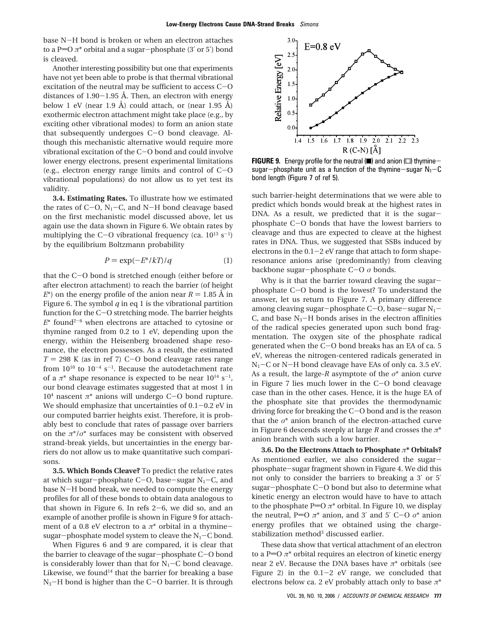base N-H bond is broken or when an electron attaches to a P= $O \pi^*$  orbital and a sugar-phosphate (3' or 5') bond is cleaved.

Another interesting possibility but one that experiments have not yet been able to probe is that thermal vibrational excitation of the neutral may be sufficient to access C-<sup>O</sup> distances of  $1.90-1.95$  Å. Then, an electron with energy below 1 eV (near 1.9 Å) could attach, or (near 1.95 Å) exothermic electron attachment might take place (e.g., by exciting other vibrational modes) to form an anion state that subsequently undergoes C-O bond cleavage. Although this mechanistic alternative would require more vibrational excitation of the C-O bond and could involve lower energy electrons, present experimental limitations (e.g., electron energy range limits and control of C-<sup>O</sup> vibrational populations) do not allow us to yet test its validity.

**3.4. Estimating Rates.** To illustrate how we estimated the rates of  $C$ -O,  $N_1$ -C, and N-H bond cleavage based on the first mechanistic model discussed above, let us again use the data shown in Figure 6. We obtain rates by multiplying the C-O vibrational frequency (ca.  $10^{13}$  s<sup>-1</sup>) by the equilibrium Boltzmann probability

$$
P = \exp(-E^* / kT) / q \tag{1}
$$

that the C-O bond is stretched enough (either before or after electron attachment) to reach the barrier (of height  $E^*$ ) on the energy profile of the anion near  $R = 1.85 \text{ Å}$  in Figure 6. The symbol  $q$  in eq 1 is the vibrational partition function for the C-O stretching mode. The barrier heights  $E^*$  found<sup>2-6</sup> when electrons are attached to cytosine or thymine ranged from 0.2 to 1 eV, depending upon the energy, within the Heisenberg broadened shape resonance, the electron possesses. As a result, the estimated  $T = 298$  K (as in ref 7) C-O bond cleavage rates range from  $10^{10}$  to  $10^{-4}$  s<sup>-1</sup>. Because the autodetachment rate of a  $\pi^*$  shape resonance is expected to be near  $10^{14}$  s<sup>-1</sup>, our bond cleavage estimates suggested that at most 1 in <sup>104</sup> nascent *<sup>π</sup>*\* anions will undergo C-O bond rupture. We should emphasize that uncertainties of  $0.1-0.2$  eV in our computed barrier heights exist. Therefore, it is probably best to conclude that rates of passage over barriers on the  $\pi^*/\sigma^*$  surfaces may be consistent with observed strand-break yields, but uncertainties in the energy barriers do not allow us to make quantitative such comparisons.

**3.5. Which Bonds Cleave?** To predict the relative rates at which sugar-phosphate C-O, base-sugar  $N_1$ -C, and base N-H bond break, we needed to compute the energy profiles for all of these bonds to obtain data analogous to that shown in Figure 6. In refs  $2-6$ , we did so, and an example of another profile is shown in Figure 9 for attachment of a 0.8 eV electron to a *<sup>π</sup>*\* orbital in a thyminesugar-phosphate model system to cleave the  $N_1-C$  bond.

When Figures 6 and 9 are compared, it is clear that the barrier to cleavage of the sugar-phosphate C-O bond is considerably lower than that for  $N_1-C$  bond cleavage. Likewise, we found<sup>14</sup> that the barrier for breaking a base  $N_3$ –H bond is higher than the C–O barrier. It is through



**FIGURE 9.** Energy profile for the neutral  $(\blacksquare)$  and anion  $(\square)$  thyminesugar-phosphate unit as a function of the thymine-sugar  $N_1-C$ bond length (Figure 7 of ref 5).

such barrier-height determinations that we were able to predict which bonds would break at the highest rates in DNA. As a result, we predicted that it is the sugarphosphate C-O bonds that have the lowest barriers to cleavage and thus are expected to cleave at the highest rates in DNA. Thus, we suggested that SSBs induced by electrons in the  $0.1-2$  eV range that attach to form shaperesonance anions arise (predominantly) from cleaving backbone sugar-phosphate C-<sup>O</sup> *<sup>σ</sup>* bonds.

Why is it that the barrier toward cleaving the sugarphosphate C-O bond is the lowest? To understand the answer, let us return to Figure 7. A primary difference among cleaving sugar-phosphate  $C$ -O, base-sugar  $N_1$ -C, and base  $N_3$ -H bonds arises in the electron affinities of the radical species generated upon such bond fragmentation. The oxygen site of the phosphate radical generated when the C-O bond breaks has an EA of ca. 5 eV, whereas the nitrogen-centered radicals generated in  $N_1-C$  or N-H bond cleavage have EAs of only ca. 3.5 eV. As a result, the large-*R* asymptote of the *σ*\* anion curve in Figure 7 lies much lower in the C-O bond cleavage case than in the other cases. Hence, it is the huge EA of the phosphate site that provides the thermodynamic driving force for breaking the  $C-O$  bond and is the reason that the *σ*\* anion branch of the electron-attached curve in Figure 6 descends steeply at large *R* and crosses the *π*\* anion branch with such a low barrier.

**3.6. Do the Electrons Attach to Phosphate** *π***\* Orbitals?** As mentioned earlier, we also considered the sugarphosphate-sugar fragment shown in Figure 4. We did this not only to consider the barriers to breaking a 3′ or 5′ sugar-phosphate C-O bond but also to determine what kinetic energy an electron would have to have to attach to the phosphate P=O  $\pi^*$  orbital. In Figure 10, we display the neutral, P=O  $\pi^*$  anion, and 3' and 5' C-O  $\sigma^*$  anion energy profiles that we obtained using the chargestabilization method<sup>3</sup> discussed earlier.

These data show that vertical attachment of an electron to a P=O  $\pi^*$  orbital requires an electron of kinetic energy near 2 eV. Because the DNA bases have *π*\* orbitals (see Figure 2) in the  $0.1-2$  eV range, we concluded that electrons below ca. 2 eV probably attach only to base *π*\*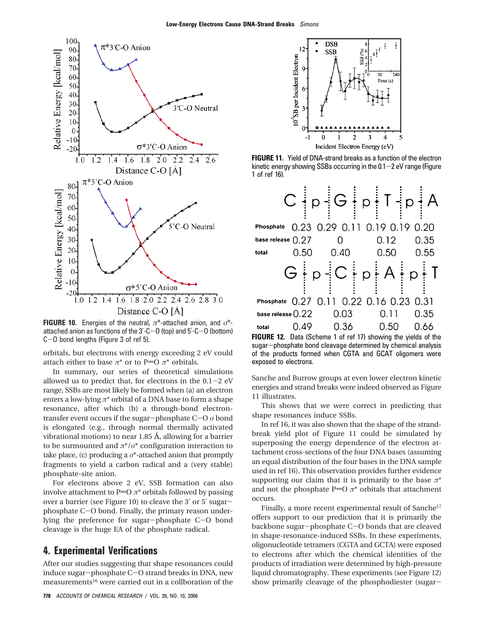

**FIGURE 10.** Energies of the neutral, *π*\*-attached anion, and *σ*\* attached anion as functions of the  $3$ '-C-O (top) and  $5$ '-C-O (bottom) <sup>C</sup>-O bond lengths (Figure 3 of ref 5).

orbitals, but electrons with energy exceeding 2 eV could attach either to base  $\pi^*$  or to P=O  $\pi^*$  orbitals.

In summary, our series of theoretical simulations allowed us to predict that, for electrons in the  $0.1-2$  eV range, SSBs are most likely be formed when (a) an electron enters a low-lying *π*\* orbital of a DNA base to form a shape resonance, after which (b) a through-bond electrontransfer event occurs if the sugar-phosphate C-<sup>O</sup> *<sup>σ</sup>* bond is elongated (e.g., through normal thermally activated vibrational motions) to near 1.85 Å, allowing for a barrier to be surmounted and *π*\*/*σ*\* configuration interaction to take place, (c) producing a  $\sigma^*$ -attached anion that promptly fragments to yield a carbon radical and a (very stable) phosphate-site anion.

For electrons above 2 eV, SSB formation can also involve attachment to P=O  $\pi$ <sup>\*</sup> orbitals followed by passing over a barrier (see Figure 10) to cleave the 3′ or 5′ sugarphosphate C-O bond. Finally, the primary reason underlying the preference for sugar-phosphate C-O bond cleavage is the huge EA of the phosphate radical.

### **4. Experimental Verifications**

After our studies suggesting that shape resonances could induce sugar-phosphate C-O strand breaks in DNA, new measurements<sup>16</sup> were carried out in a collboration of the



**FIGURE 11.** Yield of DNA-strand breaks as a function of the electron kinetic energy showing SSBs occurring in the  $0.1-2$  eV range (Figure 1 of ref 16).

|                     |      | $C \nmid p \nmid G \nmid p \nmid T \nmid p \nmid A$       |             |      |
|---------------------|------|-----------------------------------------------------------|-------------|------|
| Phosphate           |      | 0.23 0.29 0.11 0.19 0.19 0.20                             |             |      |
| base release $0.27$ |      | n                                                         | $0.12 -$    | 0.35 |
| total               | 0.50 | 0.40                                                      | 0.50        | 0.55 |
|                     |      | $G \nvert p \nvert C \nvert p \nvert A \nvert p \nvert T$ |             |      |
|                     |      | Phosphate 0.27 0.11 0.22 0.16 0.23 0.31                   |             |      |
|                     |      | base release $0.22 \qquad 0.03$                           | 0.11        | 0.35 |
| total               |      | $0.49$ 0.36                                               | $0.50$ 0.66 |      |
| ---------           |      |                                                           |             |      |

**FIGURE 12.** Data (Scheme 1 of ref 17) showing the yields of the sugar-phosphate bond cleavage determined by chemical analysis of the products formed when CGTA and GCAT oligomers were exposed to electrons.

Sanche and Burrow groups at even lower electron kinetic energies and strand breaks were indeed observed as Figure 11 illustrates.

This shows that we were correct in predicting that shape resonances induce SSBs.

In ref 16, it was also shown that the shape of the strandbreak yield plot of Figure 11 could be simulated by superposing the energy dependence of the electron attachment cross-sections of the four DNA bases (assuming an equal distribution of the four bases in the DNA sample used in ref 16). This observation provides further evidence supporting our claim that it is primarily to the base  $\pi^*$ and not the phosphate P= $O \pi^*$  orbitals that attachment occurs.

Finally, a more recent experimental result of Sanche<sup>17</sup> offers support to our prediction that it is primarily the backbone sugar-phosphate C-O bonds that are cleaved in shape-resonance-induced SSBs. In these experiments, oligonucleotide tetramers (CGTA and GCTA) were exposed to electrons after which the chemical identities of the products of irradiation were determined by high-pressure liquid chromatography. These experiments (see Figure 12) show primarily cleavage of the phosphodiester (sugar